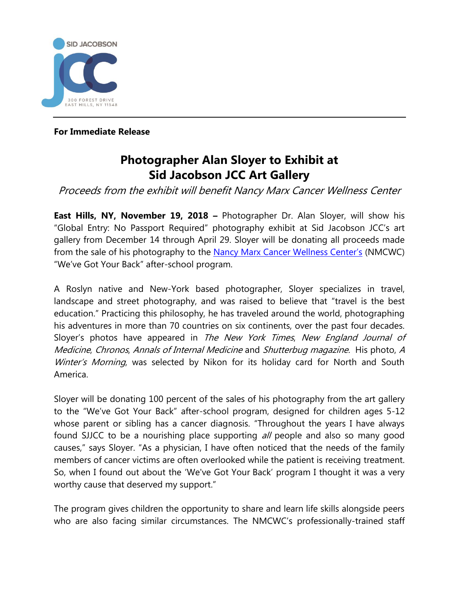

**For Immediate Release**

## **Photographer Alan Sloyer to Exhibit at Sid Jacobson JCC Art Gallery**

Proceeds from the exhibit will benefit Nancy Marx Cancer Wellness Center

**East Hills, NY, November 19, 2018 –** Photographer Dr. Alan Sloyer, will show his "Global Entry: No Passport Required" photography exhibit at Sid Jacobson JCC's art gallery from December 14 through April 29. Sloyer will be donating all proceeds made from the sale of his photography to the Nancy [Marx Cancer Wellness Center's](http://www.sjjcc.org/cwc/) (NMCWC) "We've Got Your Back" after-school program.

A Roslyn native and New-York based photographer, Sloyer specializes in travel, landscape and street photography, and was raised to believe that "travel is the best education." Practicing this philosophy, he has traveled around the world, photographing his adventures in more than 70 countries on six continents, over the past four decades. Sloyer's photos have appeared in The New York Times, New England Journal of Medicine, Chronos, Annals of Internal Medicine and Shutterbug magazine. His photo, <sup>A</sup> Winter's Morning, was selected by Nikon for its holiday card for North and South America.

Sloyer will be donating 100 percent of the sales of his photography from the art gallery to the "We've Got Your Back" after-school program, designed for children ages 5-12 whose parent or sibling has a cancer diagnosis. "Throughout the years I have always found SJJCC to be a nourishing place supporting all people and also so many good causes," says Sloyer. "As a physician, I have often noticed that the needs of the family members of cancer victims are often overlooked while the patient is receiving treatment. So, when I found out about the 'We've Got Your Back' program I thought it was a very worthy cause that deserved my support."

The program gives children the opportunity to share and learn life skills alongside peers who are also facing similar circumstances. The NMCWC's professionally-trained staff